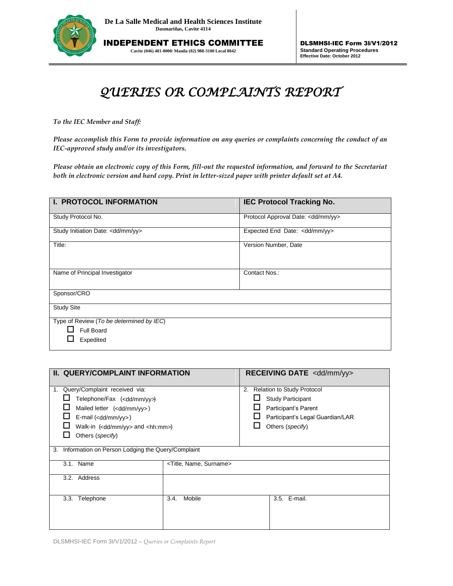

INDEPENDENT ETHICS COMMITTEE **Cavite (046) 481-8000/ Manila (02) 988-3100 Local 8042**

## *QUERIES OR COMPLAINTS REPORT*

*To the IEC Member and Staff:*

*Please accomplish this Form to provide information on any queries or complaints concerning the conduct of an IEC-approved study and/or its investigators.* 

*Please obtain an electronic copy of this Form, fill-out the requested information, and forward to the Secretariat both in electronic version and hard copy. Print in letter-sized paper with printer default set at A4.*

| I. PROTOCOL INFORMATION                                             | <b>IEC Protocol Tracking No.</b>         |
|---------------------------------------------------------------------|------------------------------------------|
| Study Protocol No.                                                  | Protocol Approval Date: < dd/mm/yy>      |
| Study Initiation Date: <dd mm="" yy=""></dd>                        | Expected End Date: <dd mm="" yy=""></dd> |
| Title:                                                              | Version Number, Date                     |
| Name of Principal Investigator                                      | Contact Nos.:                            |
| Sponsor/CRO                                                         |                                          |
| <b>Study Site</b>                                                   |                                          |
| Type of Review (To be determined by IEC)<br>Full Board<br>Expedited |                                          |

| II. QUERY/COMPLAINT INFORMATION                         |                                       | RECEIVING DATE <dd mm="" yy=""></dd>    |  |
|---------------------------------------------------------|---------------------------------------|-----------------------------------------|--|
| Query/Complaint received via:                           |                                       | <b>Relation to Study Protocol</b><br>2. |  |
| Telephone/Fax ( <dd mm="" yy="">)</dd>                  |                                       | <b>Study Participant</b>                |  |
| Mailed letter ( <dd mm="" yy="">)</dd>                  |                                       | Participant's Parent                    |  |
| $E$ -mail ( <dd mm="" yy="">)</dd>                      |                                       | Participant's Legal Guardian/LAR        |  |
| Walk-in ( <dd mm="" yy=""> and <hh:mm>)</hh:mm></dd>    |                                       | Others (specify)                        |  |
| Others (specify)                                        |                                       |                                         |  |
| Information on Person Lodging the Query/Complaint<br>3. |                                       |                                         |  |
| 3.1. Name                                               | <title, name,="" surname=""></title,> |                                         |  |
| 3.2. Address                                            |                                       |                                         |  |
| 3.3.<br>Telephone                                       | Mobile<br>3.4.                        | 3.5. E-mail.                            |  |